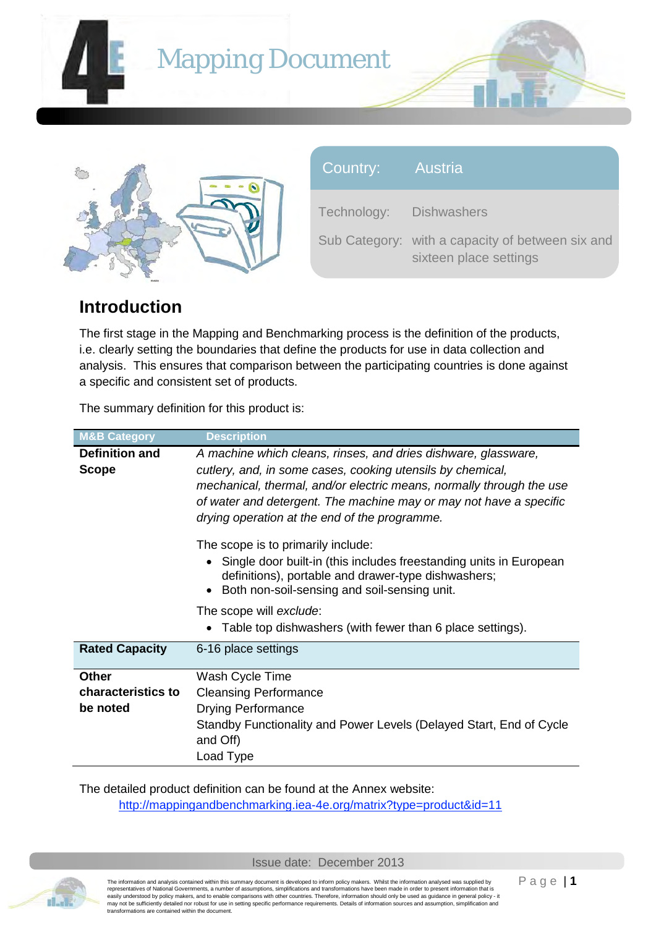

| <b>U</b> CUTTIVIOUV. PRISTIVIOUTOIS |                                          |
|-------------------------------------|------------------------------------------|
|                                     | Sub Category: with a capacity of between |
|                                     | sixteen place settings                   |

six and

# **Introduction**

The first stage in the Mapping and Benchmarking process is the definition of the products, i.e. clearly setting the boundaries that define the products for use in data collection and analysis. This ensures that comparison between the participating countries is done against a specific and consistent set of products.

The summary definition for this product is:

| <b>M&amp;B Category</b>                                                                 | <b>Description</b>                                                                                                                                                          |  |  |  |
|-----------------------------------------------------------------------------------------|-----------------------------------------------------------------------------------------------------------------------------------------------------------------------------|--|--|--|
| <b>Definition and</b><br>A machine which cleans, rinses, and dries dishware, glassware, |                                                                                                                                                                             |  |  |  |
| <b>Scope</b>                                                                            | cutlery, and, in some cases, cooking utensils by chemical,                                                                                                                  |  |  |  |
|                                                                                         | mechanical, thermal, and/or electric means, normally through the use                                                                                                        |  |  |  |
|                                                                                         | of water and detergent. The machine may or may not have a specific                                                                                                          |  |  |  |
|                                                                                         | drying operation at the end of the programme.                                                                                                                               |  |  |  |
|                                                                                         | The scope is to primarily include:                                                                                                                                          |  |  |  |
|                                                                                         | • Single door built-in (this includes freestanding units in European<br>definitions), portable and drawer-type dishwashers;<br>Both non-soil-sensing and soil-sensing unit. |  |  |  |
|                                                                                         | The scope will exclude:                                                                                                                                                     |  |  |  |
|                                                                                         | Table top dishwashers (with fewer than 6 place settings).                                                                                                                   |  |  |  |
| <b>Rated Capacity</b>                                                                   | 6-16 place settings                                                                                                                                                         |  |  |  |
| <b>Other</b>                                                                            | Wash Cycle Time                                                                                                                                                             |  |  |  |
| characteristics to                                                                      | <b>Cleansing Performance</b>                                                                                                                                                |  |  |  |
| be noted                                                                                | <b>Drying Performance</b>                                                                                                                                                   |  |  |  |
|                                                                                         | Standby Functionality and Power Levels (Delayed Start, End of Cycle                                                                                                         |  |  |  |
|                                                                                         | and Off)                                                                                                                                                                    |  |  |  |
|                                                                                         | Load Type                                                                                                                                                                   |  |  |  |

The detailed product definition can be found at the Annex website: http://mappingandbenchmarking.iea-4e.org/matrix?type=product&id=11



The information and analysis contained within this summary document is developed to inform policy makers. Whilst the information analysed was supplied by<br>representatives of National Governments, a number of assumptions, si may not be sufficiently detailed nor robust for use in setting specific performance requirements. Details of information sources and assumption, simplification and transformations are contained within the document.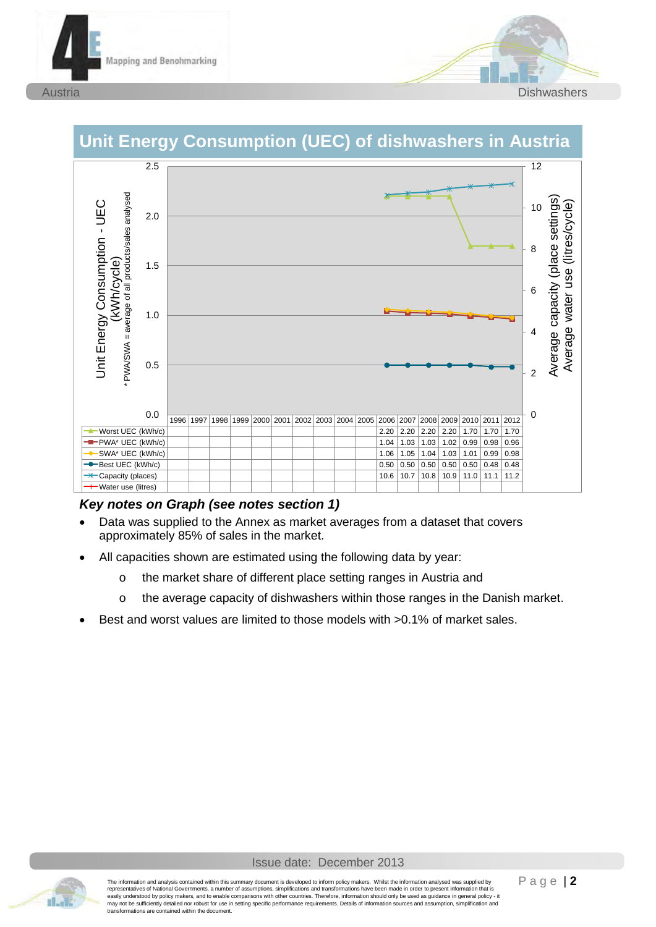





# **Unit Energy Consumption (UEC) of dishwashers in Austria**

#### *Key notes on Graph (see notes section 1)*

- Data was supplied to the Annex as market averages from a dataset that covers approximately 85% of sales in the market.
- All capacities shown are estimated using the following data by year:
	- o the market share of different place setting ranges in Austria and
	- o the average capacity of dishwashers within those ranges in the Danish market.
- Best and worst values are limited to those models with >0.1% of market sales.

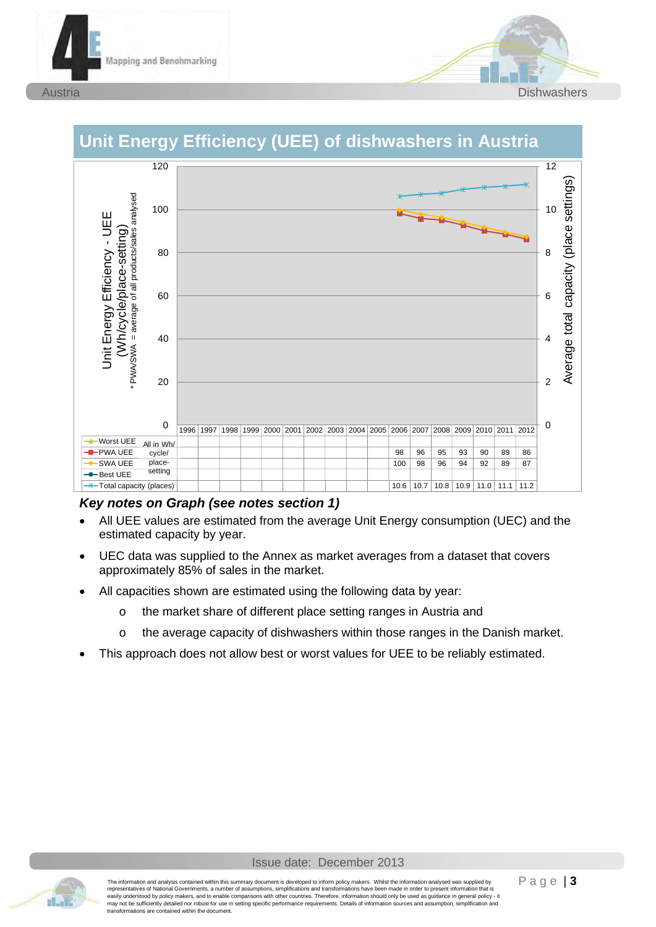





# **Unit Energy Efficiency (UEE) of dishwashers in Austria**

#### *Key notes on Graph (see notes section 1)*

- All UEE values are estimated from the average Unit Energy consumption (UEC) and the estimated capacity by year.
- UEC data was supplied to the Annex as market averages from a dataset that covers approximately 85% of sales in the market.
- All capacities shown are estimated using the following data by year:
	- o the market share of different place setting ranges in Austria and
	- o the average capacity of dishwashers within those ranges in the Danish market.
- This approach does not allow best or worst values for UEE to be reliably estimated.

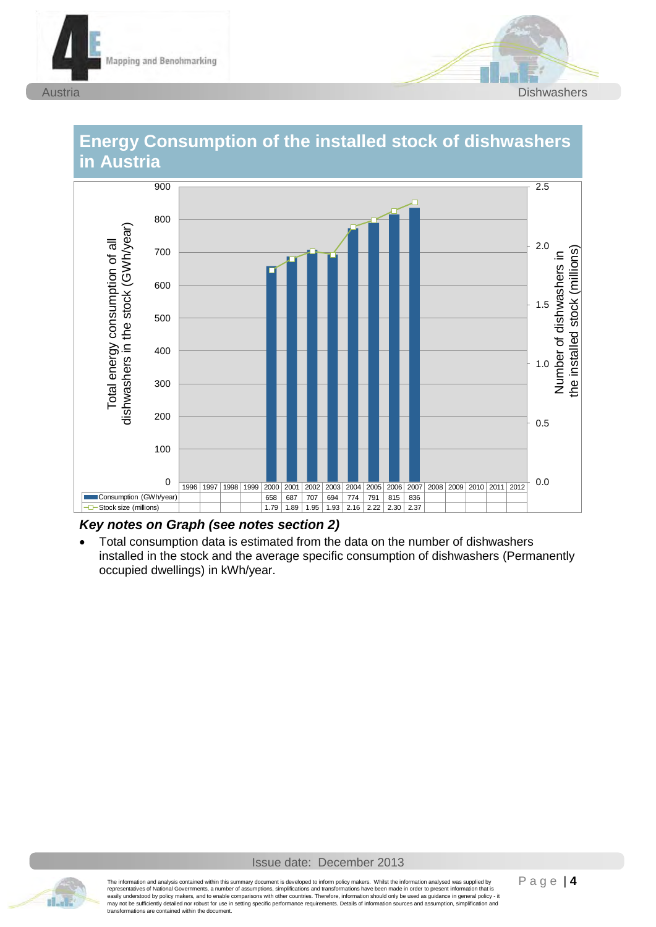





# **Energy Consumption of the installed stock of dishwashers**

#### *Key notes on Graph (see notes section 2)*

Total consumption data is estimated from the data on the number of dishwashers installed in the stock and the average specific consumption of dishwashers (Permanently occupied dwellings) in kWh/year.

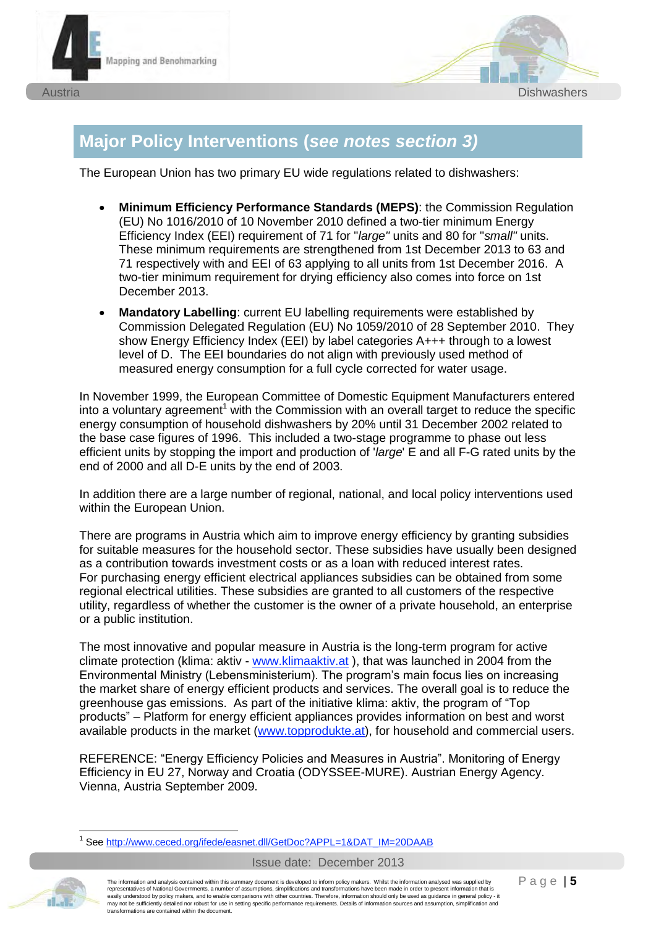



# **Major Policy Interventions (***see notes section 3)*

The European Union has two primary EU wide regulations related to dishwashers:

- **Minimum Efficiency Performance Standards (MEPS):** the Commission Regulation (EU) No 1016/2010 of 10 November 2010 defined a two-tier minimum Energy Efficiency Index (EEI) requirement of 71 for "*large"* units and 80 for "*small"* units. These minimum requirements are strengthened from 1st December 2013 to 63 and 71 respectively with and EEI of 63 applying to all units from 1st December 2016. A two-tier minimum requirement for drying efficiency also comes into force on 1st December 2013.
- x **Mandatory Labelling**: current EU labelling requirements were established by Commission Delegated Regulation (EU) No 1059/2010 of 28 September 2010. They show Energy Efficiency Index (EEI) by label categories A+++ through to a lowest level of D. The EEI boundaries do not align with previously used method of measured energy consumption for a full cycle corrected for water usage.

In November 1999, the European Committee of Domestic Equipment Manufacturers entered into a voluntary agreement<sup>1</sup> with the Commission with an overall target to reduce the specific energy consumption of household dishwashers by 20% until 31 December 2002 related to the base case figures of 1996. This included a two-stage programme to phase out less efficient units by stopping the import and production of '*large*' E and all F-G rated units by the end of 2000 and all D-E units by the end of 2003.

In addition there are a large number of regional, national, and local policy interventions used within the European Union.

There are programs in Austria which aim to improve energy efficiency by granting subsidies for suitable measures for the household sector. These subsidies have usually been designed as a contribution towards investment costs or as a loan with reduced interest rates. For purchasing energy efficient electrical appliances subsidies can be obtained from some regional electrical utilities. These subsidies are granted to all customers of the respective utility, regardless of whether the customer is the owner of a private household, an enterprise or a public institution.

The most innovative and popular measure in Austria is the long-term program for active climate protection (klima: aktiv - www.klimaaktiv.at ), that was launched in 2004 from the Environmental Ministry (Lebensministerium). The program's main focus lies on increasing the market share of energy efficient products and services. The overall goal is to reduce the greenhouse gas emissions. As part of the initiative klima: aktiv, the program of "Top products" – Platform for energy efficient appliances provides information on best and worst available products in the market (www.topprodukte.at), for household and commercial users.

REFERENCE: "Energy Efficiency Policies and Measures in Austria". Monitoring of Energy Efficiency in EU 27, Norway and Croatia (ODYSSEE-MURE). Austrian Energy Agency. Vienna, Austria September 2009.

 1 See http://www.ceced.org/ifede/easnet.dll/GetDoc?APPL=1&DAT\_IM=20DAAB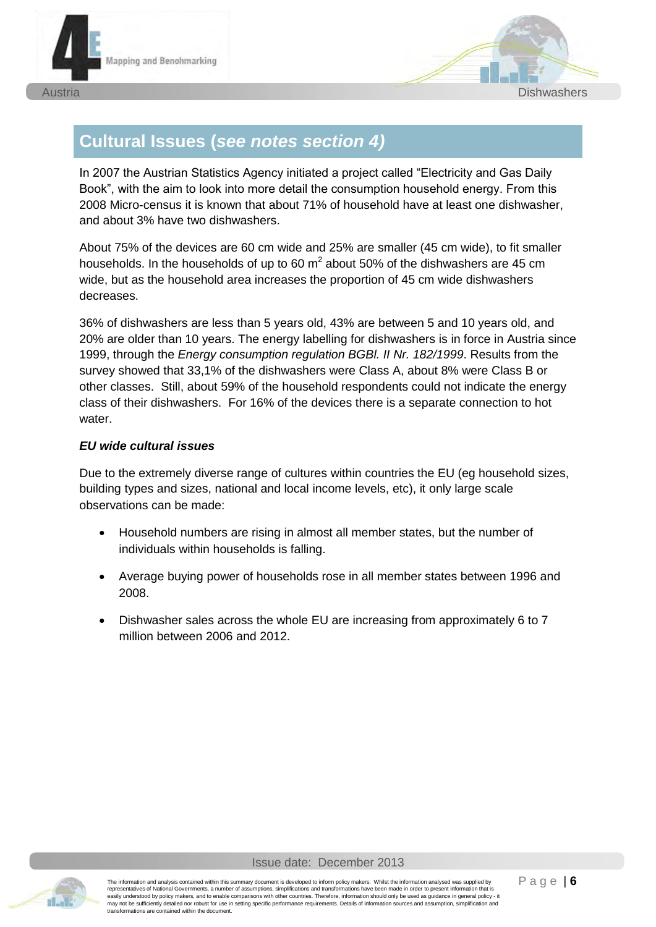



# **Cultural Issues (***see notes section 4)*

In 2007 the Austrian Statistics Agency initiated a project called "Electricity and Gas Daily Book", with the aim to look into more detail the consumption household energy. From this 2008 Micro-census it is known that about 71% of household have at least one dishwasher, and about 3% have two dishwashers.

About 75% of the devices are 60 cm wide and 25% are smaller (45 cm wide), to fit smaller households. In the households of up to 60  $m^2$  about 50% of the dishwashers are 45 cm wide, but as the household area increases the proportion of 45 cm wide dishwashers decreases.

36% of dishwashers are less than 5 years old, 43% are between 5 and 10 years old, and 20% are older than 10 years. The energy labelling for dishwashers is in force in Austria since 1999, through the *Energy consumption regulation BGBl. II Nr. 182/1999*. Results from the survey showed that 33,1% of the dishwashers were Class A, about 8% were Class B or other classes. Still, about 59% of the household respondents could not indicate the energy class of their dishwashers. For 16% of the devices there is a separate connection to hot water.

#### *EU wide cultural issues*

Due to the extremely diverse range of cultures within countries the EU (eg household sizes, building types and sizes, national and local income levels, etc), it only large scale observations can be made:

- Household numbers are rising in almost all member states, but the number of individuals within households is falling.
- Average buying power of households rose in all member states between 1996 and 2008.
- Dishwasher sales across the whole EU are increasing from approximately 6 to 7 million between 2006 and 2012.

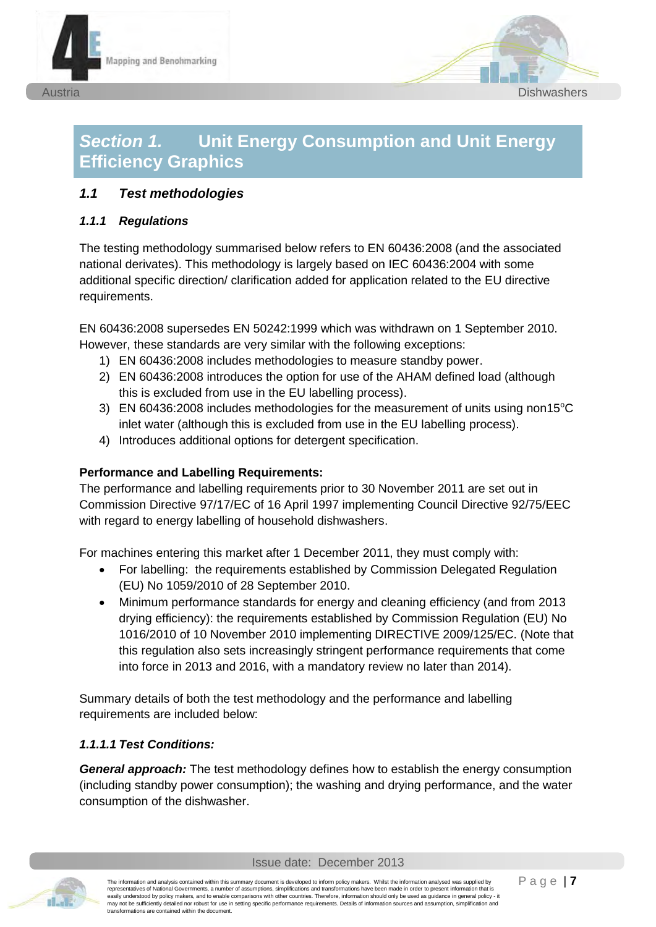



# *Section 1.* **Unit Energy Consumption and Unit Energy Efficiency Graphics**

#### *1.1 Test methodologies*

#### *1.1.1 Regulations*

The testing methodology summarised below refers to EN 60436:2008 (and the associated national derivates). This methodology is largely based on IEC 60436:2004 with some additional specific direction/ clarification added for application related to the EU directive requirements.

EN 60436:2008 supersedes EN 50242:1999 which was withdrawn on 1 September 2010. However, these standards are very similar with the following exceptions:

- 1) EN 60436:2008 includes methodologies to measure standby power.
- 2) EN 60436:2008 introduces the option for use of the AHAM defined load (although this is excluded from use in the EU labelling process).
- 3) EN 60436:2008 includes methodologies for the measurement of units using non15 $^{\circ}$ C inlet water (although this is excluded from use in the EU labelling process).
- 4) Introduces additional options for detergent specification.

#### **Performance and Labelling Requirements:**

The performance and labelling requirements prior to 30 November 2011 are set out in Commission Directive 97/17/EC of 16 April 1997 implementing Council Directive 92/75/EEC with regard to energy labelling of household dishwashers.

For machines entering this market after 1 December 2011, they must comply with:

- For labelling: the requirements established by Commission Delegated Regulation (EU) No 1059/2010 of 28 September 2010.
- Minimum performance standards for energy and cleaning efficiency (and from 2013 drying efficiency): the requirements established by Commission Regulation (EU) No 1016/2010 of 10 November 2010 implementing DIRECTIVE 2009/125/EC. (Note that this regulation also sets increasingly stringent performance requirements that come into force in 2013 and 2016, with a mandatory review no later than 2014).

Summary details of both the test methodology and the performance and labelling requirements are included below:

#### *1.1.1.1 Test Conditions:*

*General approach:* The test methodology defines how to establish the energy consumption (including standby power consumption); the washing and drying performance, and the water consumption of the dishwasher.

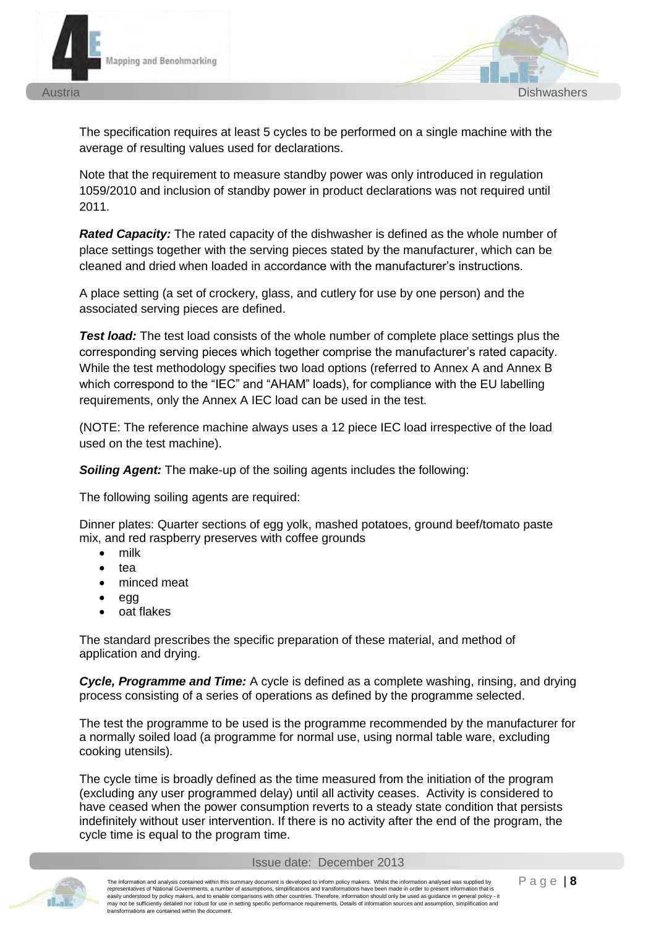

The specification requires at least 5 cycles to be performed on a single machine with the average of resulting values used for declarations.

Note that the requirement to measure standby power was only introduced in regulation 1059/2010 and inclusion of standby power in product declarations was not required until 2011.

*Rated Capacity:* The rated capacity of the dishwasher is defined as the whole number of place settings together with the serving pieces stated by the manufacturer, which can be cleaned and dried when loaded in accordance with the manufacturer's instructions.

A place setting (a set of crockery, glass, and cutlery for use by one person) and the associated serving pieces are defined.

**Test load:** The test load consists of the whole number of complete place settings plus the corresponding serving pieces which together comprise the manufacturer's rated capacity. While the test methodology specifies two load options (referred to Annex A and Annex B which correspond to the "IEC" and "AHAM" loads), for compliance with the EU labelling requirements, only the Annex A IEC load can be used in the test.

(NOTE: The reference machine always uses a 12 piece IEC load irrespective of the load used on the test machine).

*Soiling Agent:* The make-up of the soiling agents includes the following:

The following soiling agents are required:

Dinner plates: Quarter sections of egg yolk, mashed potatoes, ground beef/tomato paste mix, and red raspberry preserves with coffee grounds

- $\bullet$  milk
- tea
- minced meat
- $\bullet$  egg
- x oat flakes

The standard prescribes the specific preparation of these material, and method of application and drying.

*Cycle, Programme and Time:* A cycle is defined as a complete washing, rinsing, and drying process consisting of a series of operations as defined by the programme selected.

The test the programme to be used is the programme recommended by the manufacturer for a normally soiled load (a programme for normal use, using normal table ware, excluding cooking utensils).

The cycle time is broadly defined as the time measured from the initiation of the program (excluding any user programmed delay) until all activity ceases. Activity is considered to have ceased when the power consumption reverts to a steady state condition that persists indefinitely without user intervention. If there is no activity after the end of the program, the cycle time is equal to the program time.

#### Issue date: December 2013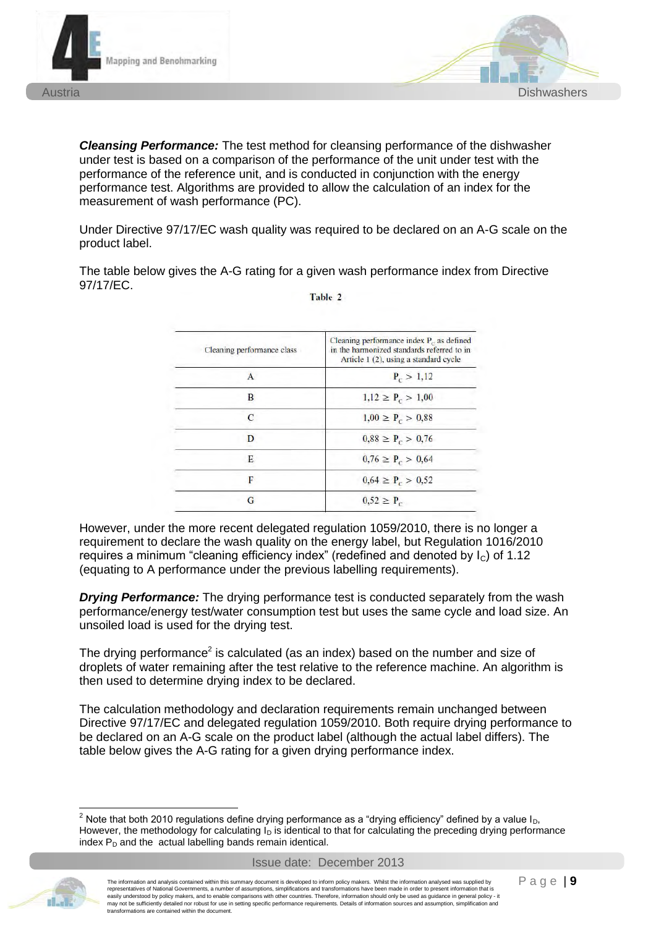

*Cleansing Performance:* The test method for cleansing performance of the dishwasher under test is based on a comparison of the performance of the unit under test with the performance of the reference unit, and is conducted in conjunction with the energy performance test. Algorithms are provided to allow the calculation of an index for the measurement of wash performance (PC).

Under Directive 97/17/EC wash quality was required to be declared on an A-G scale on the product label.

The table below gives the A-G rating for a given wash performance index from Directive 97/17/EC.

| Cleaning performance class | Cleaning performance index $P_c$ as defined<br>in the harmonized standards referred to in<br>Article 1 (2), using a standard cycle |
|----------------------------|------------------------------------------------------------------------------------------------------------------------------------|
|                            | $P_c > 1.12$                                                                                                                       |
| B                          | $1,12 \ge P_c > 1,00$                                                                                                              |
| $\mathcal{C}$              | $1,00 \ge P_c > 0,88$                                                                                                              |
| D                          | $0.88 \ge P_c > 0.76$                                                                                                              |
| E                          | $0.76 \ge P_c > 0.64$                                                                                                              |
| F                          | $0.64 \ge P_c > 0.52$                                                                                                              |
| G                          | $0.52 \ge P_c$                                                                                                                     |

Table 2

However, under the more recent delegated regulation 1059/2010, there is no longer a requirement to declare the wash quality on the energy label, but Regulation 1016/2010 requires a minimum "cleaning efficiency index" (redefined and denoted by  $I_c$ ) of 1.12 (equating to A performance under the previous labelling requirements).

**Drying Performance:** The drying performance test is conducted separately from the wash performance/energy test/water consumption test but uses the same cycle and load size. An unsoiled load is used for the drying test.

The drying performance<sup>2</sup> is calculated (as an index) based on the number and size of droplets of water remaining after the test relative to the reference machine. An algorithm is then used to determine drying index to be declared.

The calculation methodology and declaration requirements remain unchanged between Directive 97/17/EC and delegated regulation 1059/2010. Both require drying performance to be declared on an A-G scale on the product label (although the actual label differs). The table below gives the A-G rating for a given drying performance index.



<sup>-</sup><sup>2</sup> Note that both 2010 regulations define drying performance as a "drying efficiency" defined by a value I<sub>D</sub>, However, the methodology for calculating  $I<sub>D</sub>$  is identical to that for calculating the preceding drying performance index  $P_D$  and the actual labelling bands remain identical.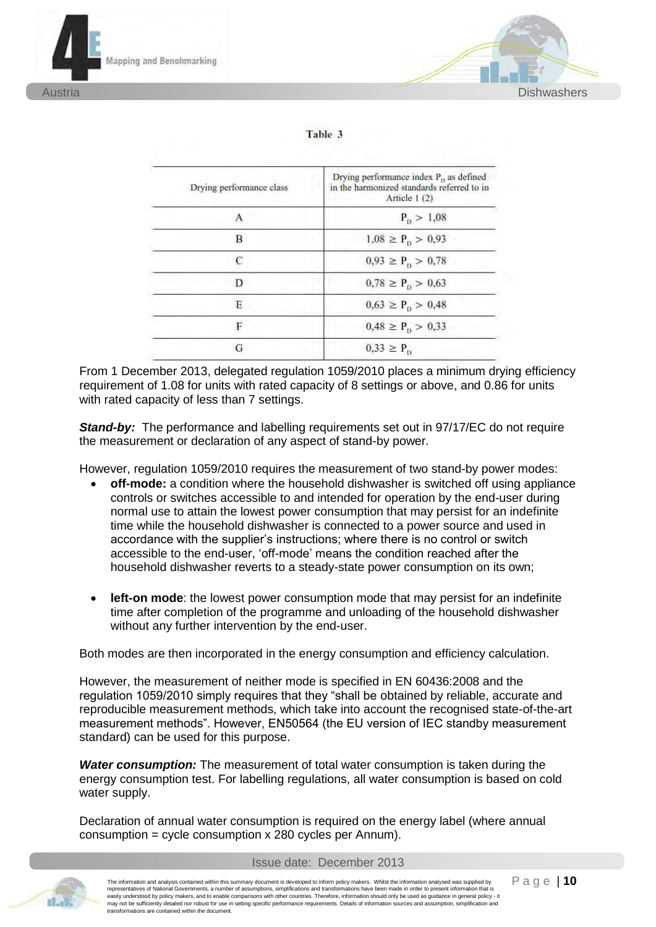



| Table 3 |  |  |
|---------|--|--|
|         |  |  |

| Drying performance class | Drying performance index $P_p$ as defined<br>in the harmonized standards referred to in<br>Article 1(2) |  |  |  |
|--------------------------|---------------------------------------------------------------------------------------------------------|--|--|--|
|                          | $P_p > 1,08$                                                                                            |  |  |  |
| B                        | $1.08 \ge P_p > 0.93$                                                                                   |  |  |  |
|                          | $0.93 \ge P_{\rm o} > 0.78$                                                                             |  |  |  |
| D                        | $0.78 \ge P_p > 0.63$                                                                                   |  |  |  |
| F                        | $0.63 \ge P_{\rm p} > 0.48$                                                                             |  |  |  |
| F                        | $0.48 \ge P_p > 0.33$                                                                                   |  |  |  |
| G                        | $0.33 \ge P_{\rm D}$                                                                                    |  |  |  |

From 1 December 2013, delegated regulation 1059/2010 places a minimum drying efficiency requirement of 1.08 for units with rated capacity of 8 settings or above, and 0.86 for units with rated capacity of less than 7 settings.

**Stand-by:** The performance and labelling requirements set out in 97/17/EC do not require the measurement or declaration of any aspect of stand-by power.

However, regulation 1059/2010 requires the measurement of two stand-by power modes:

- x **off-mode:** a condition where the household dishwasher is switched off using appliance controls or switches accessible to and intended for operation by the end-user during normal use to attain the lowest power consumption that may persist for an indefinite time while the household dishwasher is connected to a power source and used in accordance with the supplier's instructions; where there is no control or switch accessible to the end-user, 'off-mode' means the condition reached after the household dishwasher reverts to a steady-state power consumption on its own;
- **left-on mode**: the lowest power consumption mode that may persist for an indefinite time after completion of the programme and unloading of the household dishwasher without any further intervention by the end-user.

Both modes are then incorporated in the energy consumption and efficiency calculation.

However, the measurement of neither mode is specified in EN 60436:2008 and the regulation 1059/2010 simply requires that they "shall be obtained by reliable, accurate and reproducible measurement methods, which take into account the recognised state-of-the-art measurement methods". However, EN50564 (the EU version of IEC standby measurement standard) can be used for this purpose.

*Water consumption:* The measurement of total water consumption is taken during the energy consumption test. For labelling regulations, all water consumption is based on cold water supply.

Declaration of annual water consumption is required on the energy label (where annual consumption = cycle consumption x 280 cycles per Annum).



The information and analysis contained within this summary document is developed to inform policy makers. Whilst the information analysed was supplied by representatives of National Governments, a number of assumptions, simplifications and transformations have been made in order to present information that is easily understood by policy makers, and to enable comparisons with other countries. Therefore, information should only be used as guidance in general policy - it may not be sufficiently detailed nor robust for use in setting specific performance requirements. Details of information sources and assumption, simplification and transformations are contained within the document.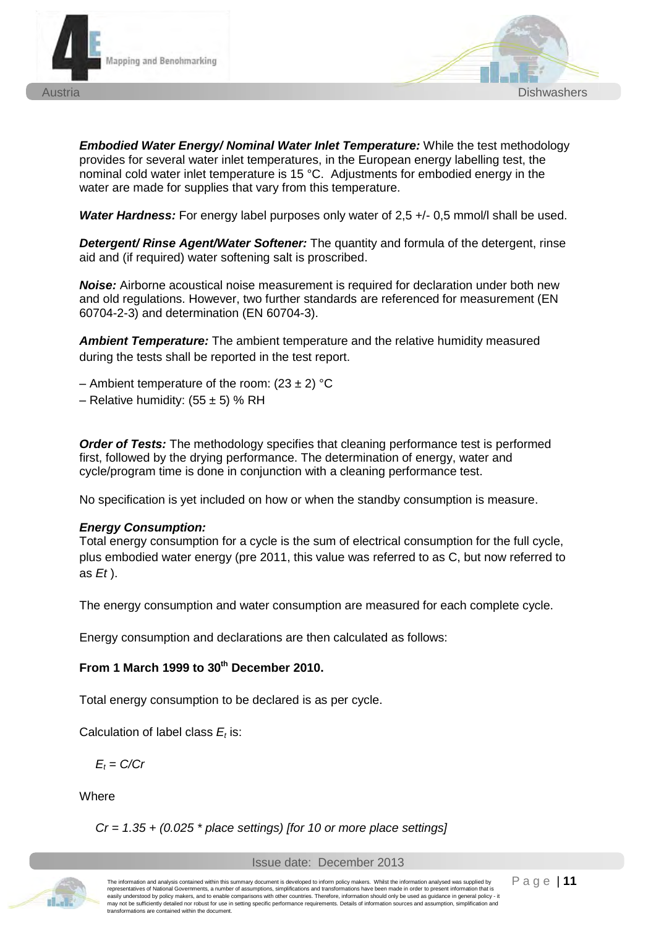



*Embodied Water Energy/ Nominal Water Inlet Temperature:* While the test methodology provides for several water inlet temperatures, in the European energy labelling test, the nominal cold water inlet temperature is 15 °C. Adjustments for embodied energy in the water are made for supplies that vary from this temperature.

**Water Hardness:** For energy label purposes only water of 2,5 +/- 0,5 mmol/l shall be used.

*Detergent/ Rinse Agent/Water Softener:* The quantity and formula of the detergent, rinse aid and (if required) water softening salt is proscribed.

*Noise:* Airborne acoustical noise measurement is required for declaration under both new and old regulations. However, two further standards are referenced for measurement (EN 60704-2-3) and determination (EN 60704-3).

*Ambient Temperature:* The ambient temperature and the relative humidity measured during the tests shall be reported in the test report.

- Ambient temperature of the room:  $(23 \pm 2)$  °C
- Relative humidity:  $(55 \pm 5)$  % RH

*Order of Tests:* The methodology specifies that cleaning performance test is performed first, followed by the drying performance. The determination of energy, water and cycle/program time is done in conjunction with a cleaning performance test.

No specification is yet included on how or when the standby consumption is measure.

#### *Energy Consumption:*

Total energy consumption for a cycle is the sum of electrical consumption for the full cycle, plus embodied water energy (pre 2011, this value was referred to as C, but now referred to as *Et* ).

The energy consumption and water consumption are measured for each complete cycle.

Energy consumption and declarations are then calculated as follows:

#### From 1 March 1999 to 30<sup>th</sup> December 2010.

Total energy consumption to be declared is as per cycle.

Calculation of label class  $E_t$  is:

 $E_t = C/Cr$ 

**Where** 

*Cr = 1.35 + (0.025 \* place settings) [for 10 or more place settings]*



The information and analysis contained within this summary document is developed to inform policy makers. Whilst the information analysed was supplied by representatives of National Governments, a number of assumptions, simplifications and transformations have been made in order to present information that is easily understood by policy makers, and to enable comparisons with other countries. Therefore, information should only be used as guidance in general policy - it may not be sufficiently detailed nor robust for use in setting specific performance requirements. Details of information sources and assumption, simplification and transformations are contained within the document.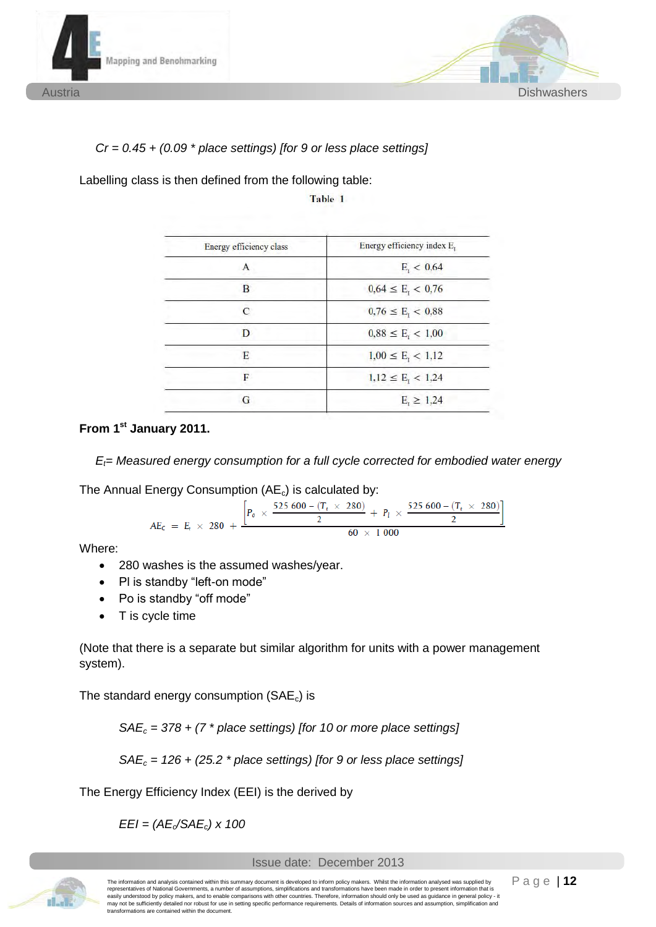



#### *Cr = 0.45 + (0.09 \* place settings) [for 9 or less place settings]*

Labelling class is then defined from the following table:

Table 1

| <b>Energy efficiency class</b> | Energy efficiency index E <sub>r</sub> |
|--------------------------------|----------------------------------------|
| А                              | $E_1 < 0.64$                           |
| B                              | $0.64 \le E_{\rm r} < 0.76$            |
| $\epsilon$                     | $0.76 \le E_{\rm r} < 0.88$            |
| D                              | $0.88 \le E_{\rm r} < 1.00$            |
| Е                              | $1,00 \le E_t < 1,12$                  |
| F                              | $1,12 \le E_{\rm r} < 1,24$            |
| G                              | $E_{r} \ge 1,24$                       |

#### **From 1st January 2011.**

*E*= Measured energy consumption for a full cycle corrected for embodied water energy

The Annual Energy Consumption  $(AE_c)$  is calculated by:

$$
AE_C = E_t \times 280 + \frac{\left[P_o \times \frac{525\,600 - (T_t \times 280)}{2} + P_l \times \frac{525\,600 - (T_t \times 280)}{2}\right]}{60 \times 1\,000}
$$

Where:

- 280 washes is the assumed washes/year.
- Pl is standby "left-on mode"
- Po is standby "off mode"
- $\bullet$  T is cycle time

(Note that there is a separate but similar algorithm for units with a power management system).

The standard energy consumption  $(SAE_c)$  is

*SAEc = 378 + (7 \* place settings) [for 10 or more place settings]* 

*SAEc = 126 + (25.2 \* place settings) [for 9 or less place settings]* 

The Energy Efficiency Index (EEI) is the derived by

 $EEl = (AE_{c}/SAE_{c}) \times 100$ 



The information and analysis contained within this summary document is developed to inform policy makers. Whilst the information analysed was supplied by representatives of National Governments, a number of assumptions, simplifications and transformations have been made in order to present information that is<br>easily understood by policy makers, and to enable comparisons wit may not be sufficiently detailed nor robust for use in setting specific performance requirements. Details of information sources and assumption, simplification and transformations are contained within the document.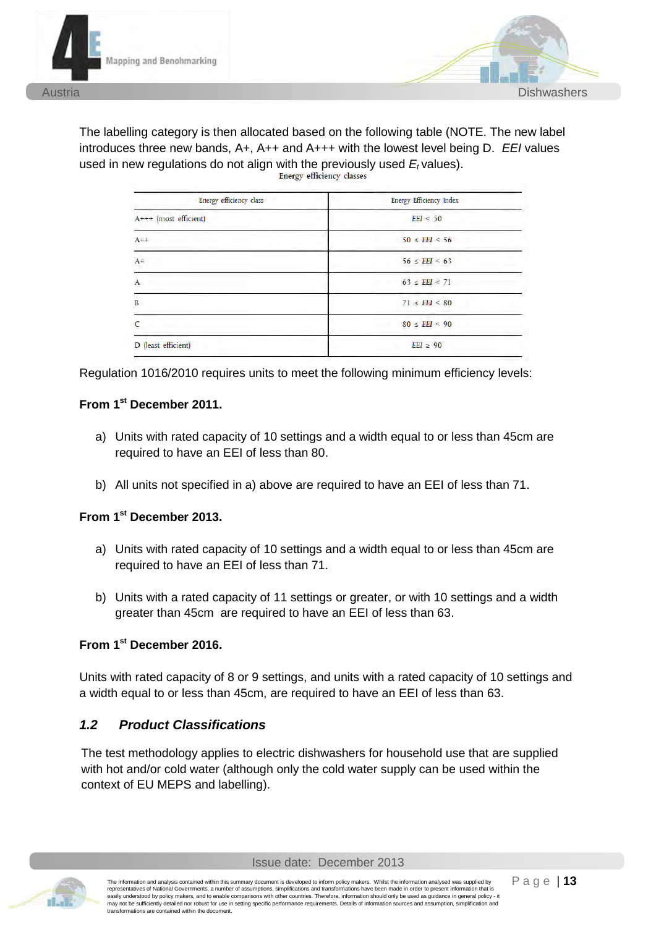



The labelling category is then allocated based on the following table (NOTE. The new label introduces three new bands, A+, A++ and A+++ with the lowest level being D. *EEI* values used in new regulations do not align with the previously used  $E_t$  values).<br>Energy efficiency classes

| Energy efficiency class  | <b>Energy Efficiency Index</b> |  |  |
|--------------------------|--------------------------------|--|--|
| $A$ +++ (most efficient) | EEI < 50                       |  |  |
| $A++$                    | $50 \leq EEI \leq 56$          |  |  |
| $A +$                    | $56 \leq EEI \leq 63$          |  |  |
| A                        | $63 \leq EEI \leq 71$          |  |  |
| B                        | $71 \leq EEI \leq 80$          |  |  |
| C                        | $80 \leq EEI \leq 90$          |  |  |
| D (least efficient)      | $EEI \geq 90$                  |  |  |

Regulation 1016/2010 requires units to meet the following minimum efficiency levels:

#### **From 1st December 2011.**

- a) Units with rated capacity of 10 settings and a width equal to or less than 45cm are required to have an EEI of less than 80.
- b) All units not specified in a) above are required to have an EEI of less than 71.

#### **From 1st December 2013.**

- a) Units with rated capacity of 10 settings and a width equal to or less than 45cm are required to have an EEI of less than 71.
- b) Units with a rated capacity of 11 settings or greater, or with 10 settings and a width greater than 45cm are required to have an EEI of less than 63.

### **From 1st December 2016.**

Units with rated capacity of 8 or 9 settings, and units with a rated capacity of 10 settings and a width equal to or less than 45cm, are required to have an EEI of less than 63.

#### *1.2 Product Classifications*

The test methodology applies to electric dishwashers for household use that are supplied with hot and/or cold water (although only the cold water supply can be used within the context of EU MEPS and labelling).

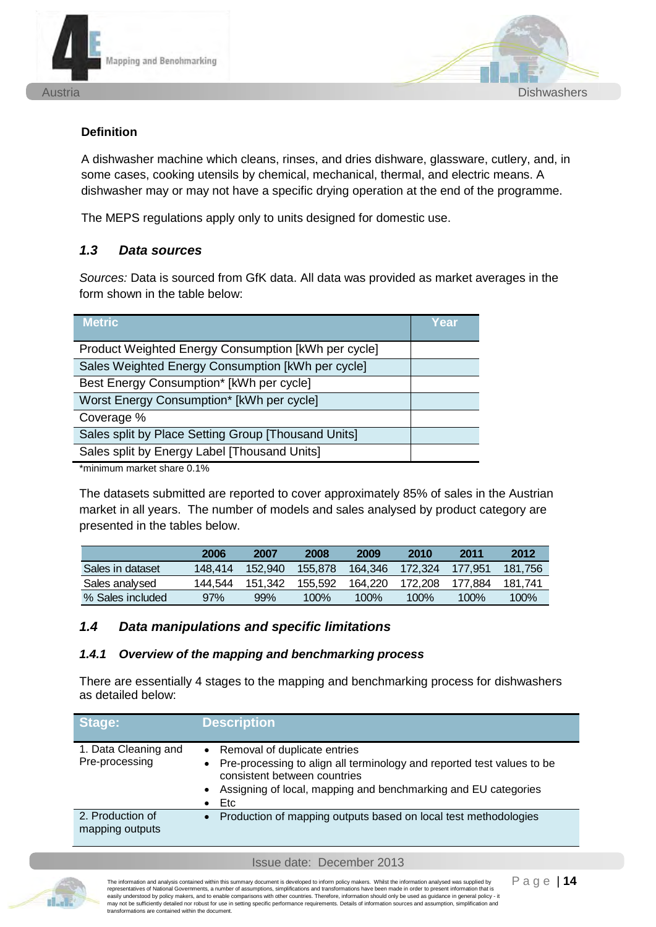



#### **Definition**

A dishwasher machine which cleans, rinses, and dries dishware, glassware, cutlery, and, in some cases, cooking utensils by chemical, mechanical, thermal, and electric means. A dishwasher may or may not have a specific drying operation at the end of the programme.

The MEPS regulations apply only to units designed for domestic use.

#### *1.3 Data sources*

*Sources:* Data is sourced from GfK data. All data was provided as market averages in the form shown in the table below:

| <b>Metric</b>                                       | <b>Year</b> |
|-----------------------------------------------------|-------------|
| Product Weighted Energy Consumption [kWh per cycle] |             |
| Sales Weighted Energy Consumption [kWh per cycle]   |             |
| Best Energy Consumption* [kWh per cycle]            |             |
| Worst Energy Consumption* [kWh per cycle]           |             |
| Coverage %                                          |             |
| Sales split by Place Setting Group [Thousand Units] |             |
| Sales split by Energy Label [Thousand Units]        |             |
|                                                     |             |

\*minimum market share 0.1%

The datasets submitted are reported to cover approximately 85% of sales in the Austrian market in all years. The number of models and sales analysed by product category are presented in the tables below.

|                  | 2006    | 2007    | 2008    | 2009    | 2010    | 2011    | 2012    |
|------------------|---------|---------|---------|---------|---------|---------|---------|
| Sales in dataset | 148.414 | 152.940 | 155.878 | 164.346 | 172.324 | 177.951 | 181.756 |
| Sales analysed   | 144.544 | 151.342 | 155.592 | 164.220 | 172.208 | 177.884 | 181.741 |
| % Sales included | 97%     | 99%     | $100\%$ | $100\%$ | 100%    | $100\%$ | 100%    |

#### *1.4 Data manipulations and specific limitations*

#### *1.4.1 Overview of the mapping and benchmarking process*

There are essentially 4 stages to the mapping and benchmarking process for dishwashers as detailed below:

| Stage:                                 | <b>Description</b>                                                                                                                                                                                                                            |
|----------------------------------------|-----------------------------------------------------------------------------------------------------------------------------------------------------------------------------------------------------------------------------------------------|
| 1. Data Cleaning and<br>Pre-processing | • Removal of duplicate entries<br>Pre-processing to align all terminology and reported test values to be<br>$\bullet$<br>consistent between countries<br>• Assigning of local, mapping and benchmarking and EU categories<br>Etc<br>$\bullet$ |
| 2. Production of<br>mapping outputs    | Production of mapping outputs based on local test methodologies<br>$\bullet$                                                                                                                                                                  |

Issue date: December 2013



The information and analysis contained within this summary document is developed to inform policy makers. Whilst the information analysed was supplied by representatives of National Governments, a number of assumptions, simplifications and transformations have been made in order to present information that is representatives of valuorial covernments, a number of assumptions, simplifications are unable to the contributions of the protected by policy and to enable comparisons with our policy - it enable comparisons with other cou may not be sufficiently detailed nor robust for use in setting specific performance requirements. Details of information sources and assumption, simplification and transformations are contained within the document.

Page | **14**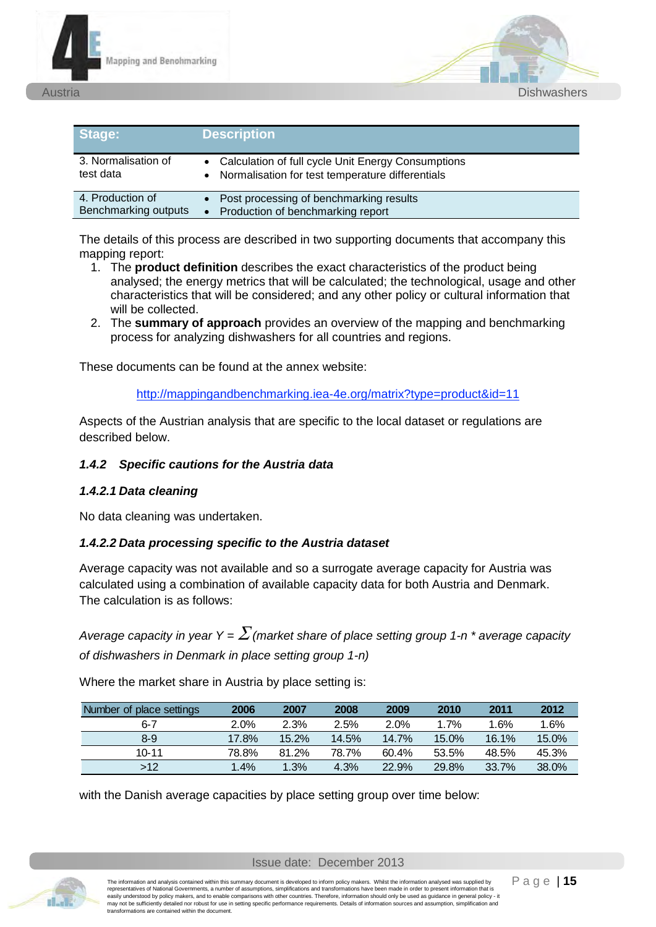



| Stage:                                   | <b>Description</b>                                                                                                    |
|------------------------------------------|-----------------------------------------------------------------------------------------------------------------------|
| 3. Normalisation of<br>test data         | • Calculation of full cycle Unit Energy Consumptions<br>Normalisation for test temperature differentials<br>$\bullet$ |
| 4. Production of<br>Benchmarking outputs | • Post processing of benchmarking results<br>Production of benchmarking report<br>$\bullet$                           |

The details of this process are described in two supporting documents that accompany this mapping report:

- 1. The **product definition** describes the exact characteristics of the product being analysed; the energy metrics that will be calculated; the technological, usage and other characteristics that will be considered; and any other policy or cultural information that will be collected.
- 2. The **summary of approach** provides an overview of the mapping and benchmarking process for analyzing dishwashers for all countries and regions.

These documents can be found at the annex website:

http://mappingandbenchmarking.iea-4e.org/matrix?type=product&id=11

Aspects of the Austrian analysis that are specific to the local dataset or regulations are described below.

#### *1.4.2 Specific cautions for the Austria data*

#### *1.4.2.1 Data cleaning*

No data cleaning was undertaken.

#### *1.4.2.2 Data processing specific to the Austria dataset*

Average capacity was not available and so a surrogate average capacity for Austria was calculated using a combination of available capacity data for both Austria and Denmark. The calculation is as follows:

*Average capacity in year Y =*  $\sum$  *(market share of place setting group 1-n \* average capacity of dishwashers in Denmark in place setting group 1-n)*

Where the market share in Austria by place setting is:

| Number of place settings | 2006    | 2007  | 2008  | 2009  | 2010  | 2011    | 2012  |
|--------------------------|---------|-------|-------|-------|-------|---------|-------|
| 6-7                      | $2.0\%$ | 2.3%  | 2.5%  | 2.0%  | 1.7%  | $1.6\%$ | 1.6%  |
| $8 - 9$                  | 17.8%   | 15.2% | 14.5% | 14.7% | 15.0% | 16.1%   | 15.0% |
| 10-11                    | 78.8%   | 81.2% | 78.7% | 60.4% | 53.5% | 48.5%   | 45.3% |
| >12                      | 1.4%    | 1.3%  | 4.3%  | 22.9% | 29.8% | 33.7%   | 38.0% |

with the Danish average capacities by place setting group over time below:

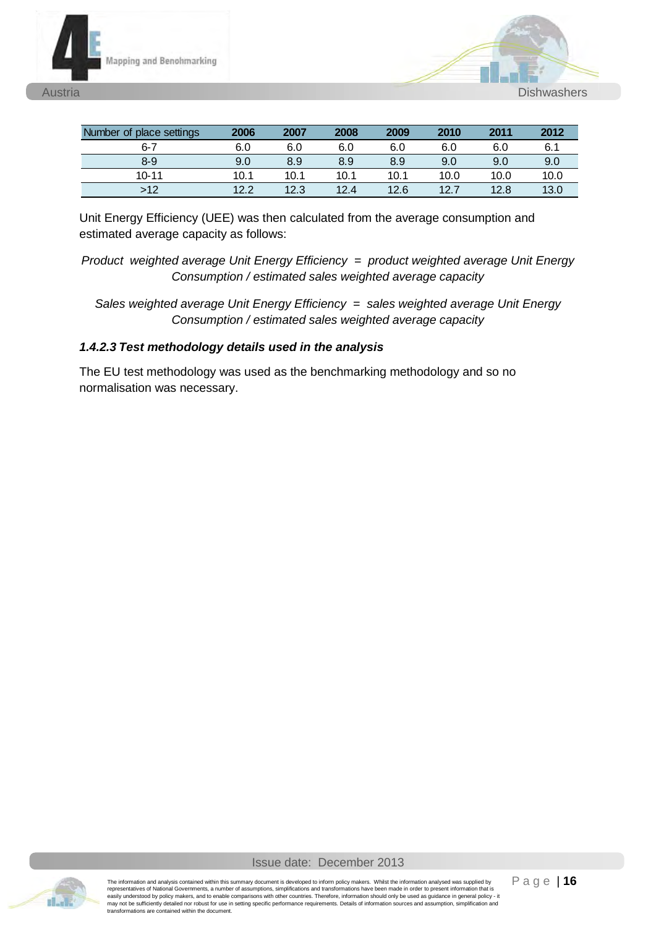



| Number of place settings | 2006 | 2007 | 2008 | 2009 | 2010 | 2011 | 2012 |
|--------------------------|------|------|------|------|------|------|------|
| $6 - 7$                  | 6.0  | 6.0  | 6.0  | 6.0  | 6.0  | 6.0  | 6.1  |
| 8-9                      | 9.0  | 8.9  | 8.9  | 8.9  | 9.0  | 9.0  | 9.0  |
| $10 - 11$                | 10.1 | 10.1 | 10.1 | 10.1 | 10.0 | 10.0 | 10.0 |
| >12                      | 12.2 | 12.3 | 12.4 | 12.6 | 127  | 12.8 | 13.0 |

Unit Energy Efficiency (UEE) was then calculated from the average consumption and estimated average capacity as follows:

*Product weighted average Unit Energy Efficiency = product weighted average Unit Energy Consumption / estimated sales weighted average capacity* 

*Sales weighted average Unit Energy Efficiency = sales weighted average Unit Energy Consumption / estimated sales weighted average capacity* 

#### *1.4.2.3 Test methodology details used in the analysis*

The EU test methodology was used as the benchmarking methodology and so no normalisation was necessary.

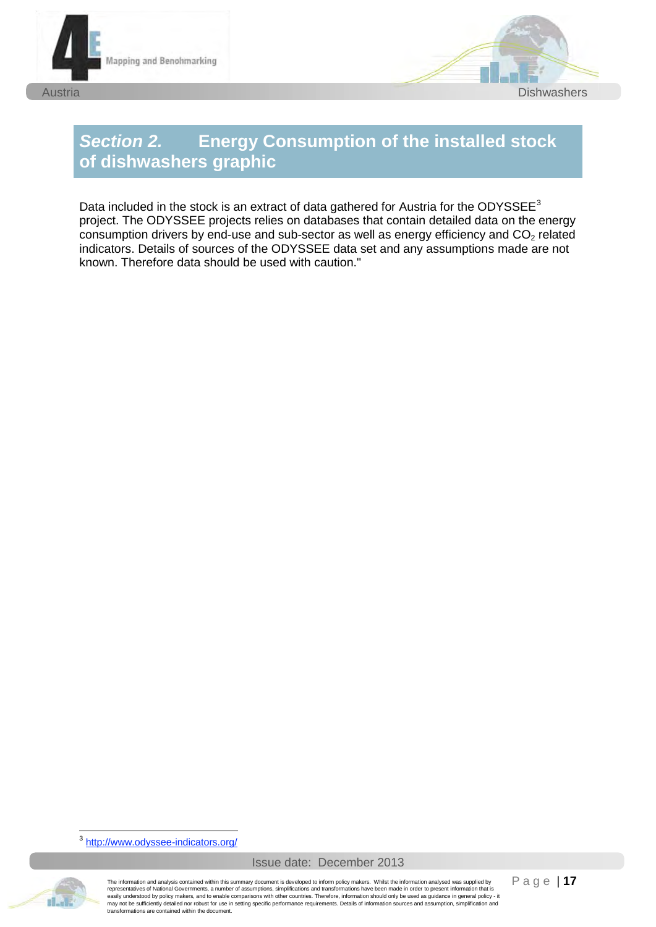





# *Section 2.* **Energy Consumption of the installed stock of dishwashers graphic**

Data included in the stock is an extract of data gathered for Austria for the ODYSSEE $^3$ project. The ODYSSEE projects relies on databases that contain detailed data on the energy consumption drivers by end-use and sub-sector as well as energy efficiency and  $CO<sub>2</sub>$  related indicators. Details of sources of the ODYSSEE data set and any assumptions made are not known. Therefore data should be used with caution."

-<sup>3</sup> http://www.odyssee-indicators.org/



The information and analysis contained within this summary document is developed to inform policy makers. Whilst the information analysed was supplied by<br>representatives of National Governments, a number of assumptions, si may not be sufficiently detailed nor robust for use in setting specific performance requirements. Details of information sources and assumption, simplification and transformations are contained within the document.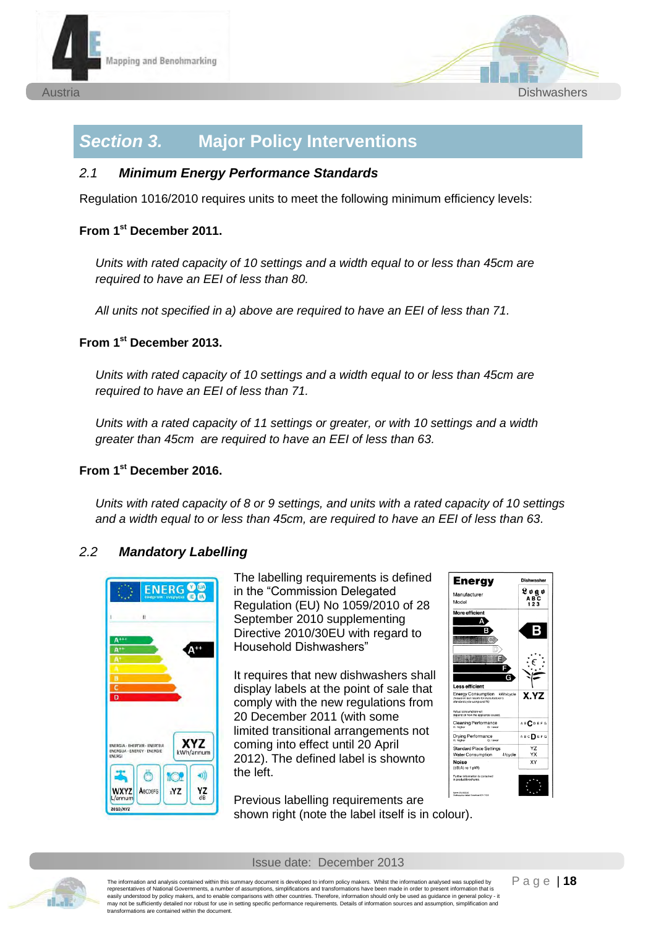



## *Section 3.* **Major Policy Interventions**

#### *2.1 Minimum Energy Performance Standards*

Regulation 1016/2010 requires units to meet the following minimum efficiency levels:

#### **From 1st December 2011.**

*Units with rated capacity of 10 settings and a width equal to or less than 45cm are required to have an EEI of less than 80.* 

*All units not specified in a) above are required to have an EEI of less than 71.*

#### **From 1st December 2013.**

*Units with rated capacity of 10 settings and a width equal to or less than 45cm are required to have an EEI of less than 71.* 

*Units with a rated capacity of 11 settings or greater, or with 10 settings and a width greater than 45cm are required to have an EEI of less than 63.* 

#### **From 1st December 2016.**

*Units with rated capacity of 8 or 9 settings, and units with a rated capacity of 10 settings and a width equal to or less than 45cm, are required to have an EEI of less than 63.*

#### *2.2 Mandatory Labelling*



The labelling requirements is defined in the "Commission Delegated Regulation (EU) No 1059/2010 of 28 September 2010 supplementing Directive 2010/30EU with regard to Household Dishwashers"

It requires that new dishwashers shall display labels at the point of sale that comply with the new regulations from 20 December 2011 (with some limited transitional arrangements not coming into effect until 20 April 2012). The defined label is shownto the left.

Previous labelling requirements are shown right (note the label itself is in colour).



Issue date: December 2013

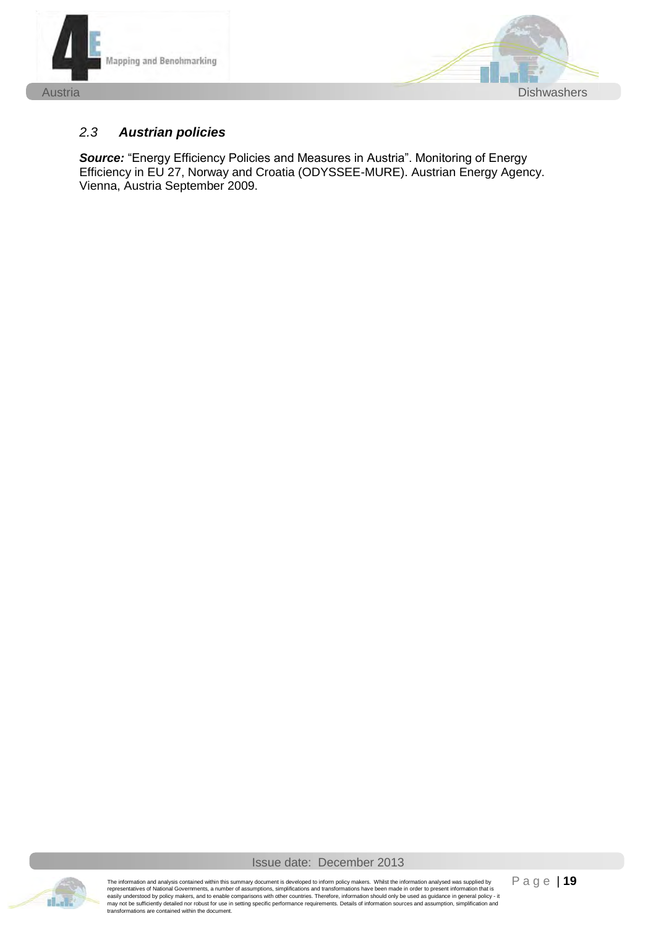



#### *2.3 Austrian policies*

*Source:* "Energy Efficiency Policies and Measures in Austria". Monitoring of Energy Efficiency in EU 27, Norway and Croatia (ODYSSEE-MURE). Austrian Energy Agency. Vienna, Austria September 2009.



Issue date: December 2013

The information and analysis contained within this summary document is developed to inform policy makers. Whilst the information analysed was supplied by<br>representatives of National Governments, a number of assumptions, si may not be sufficiently detailed nor robust for use in setting specific performance requirements. Details of information sources and assumption. simplification and transformations are contained within the document.